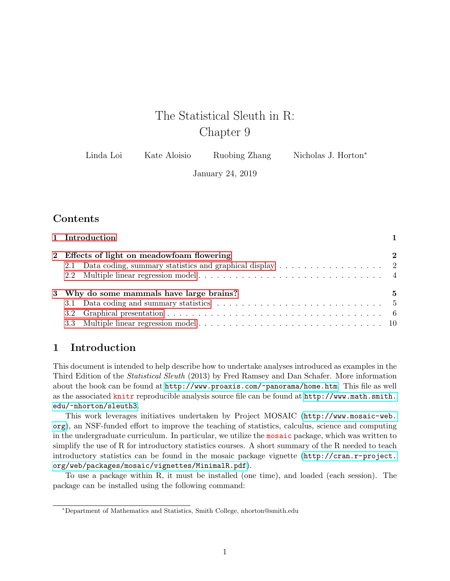# The Statistical Sleuth in R: Chapter 9

| Linda Loi | Kate Aloisio | Ruobing Zhang | Nicholas J. Horton <sup>*</sup> |
|-----------|--------------|---------------|---------------------------------|
|-----------|--------------|---------------|---------------------------------|

January 24, 2019

## **Contents**

| 1 Introduction                             |             |
|--------------------------------------------|-------------|
| 2 Effects of light on meadowfoam flowering | $\mathbf 2$ |
|                                            |             |
| 3 Why do some mammals have large brains?   | 5           |
|                                            |             |
|                                            |             |
|                                            |             |

### <span id="page-0-0"></span>1 Introduction

This document is intended to help describe how to undertake analyses introduced as examples in the Third Edition of the Statistical Sleuth (2013) by Fred Ramsey and Dan Schafer. More information about the book can be found at <http://www.proaxis.com/~panorama/home.htm>. This file as well as the associated knitr reproducible analysis source file can be found at [http://www.math.smith.](http://www.math.smith.edu/~nhorton/sleuth3) [edu/~nhorton/sleuth3](http://www.math.smith.edu/~nhorton/sleuth3).

This work leverages initiatives undertaken by Project MOSAIC ([http://www.mosaic-web.](http://www.mosaic-web.org) [org](http://www.mosaic-web.org)), an NSF-funded effort to improve the teaching of statistics, calculus, science and computing in the undergraduate curriculum. In particular, we utilize the mosaic package, which was written to simplify the use of R for introductory statistics courses. A short summary of the R needed to teach introductory statistics can be found in the mosaic package vignette ([http://cran.r-project.](http://cran.r-project.org/web/packages/mosaic/vignettes/MinimalR.pdf) [org/web/packages/mosaic/vignettes/MinimalR.pdf](http://cran.r-project.org/web/packages/mosaic/vignettes/MinimalR.pdf)).

To use a package within R, it must be installed (one time), and loaded (each session). The package can be installed using the following command:

<sup>∗</sup>Department of Mathematics and Statistics, Smith College, nhorton@smith.edu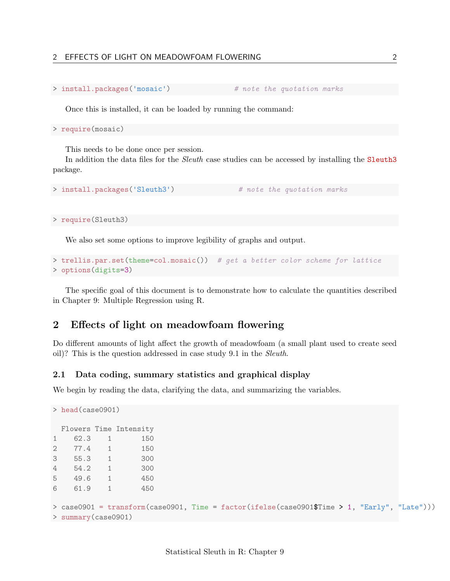```
> install.packages('mosaic') # note the quotation marks
```
Once this is installed, it can be loaded by running the command:

> require(mosaic)

This needs to be done once per session.

In addition the data files for the Sleuth case studies can be accessed by installing the Sleuth3 package.

```
> install.packages('Sleuth3') # note the quotation marks
```
> require(Sleuth3)

We also set some options to improve legibility of graphs and output.

```
> trellis.par.set(theme=col.mosaic()) # get a better color scheme for lattice
> options(digits=3)
```
The specific goal of this document is to demonstrate how to calculate the quantities described in Chapter 9: Multiple Regression using R.

### <span id="page-1-0"></span>2 Effects of light on meadowfoam flowering

Do different amounts of light affect the growth of meadowfoam (a small plant used to create seed oil)? This is the question addressed in case study 9.1 in the Sleuth.

#### <span id="page-1-1"></span>2.1 Data coding, summary statistics and graphical display

We begin by reading the data, clarifying the data, and summarizing the variables.

```
> head(case0901)
 Flowers Time Intensity
1 62.3 1 150
2 77.4 1 150
3 55.3 1 300
4 54.2 1 300
5 49.6 1 450
6 61.9 1 450
> case0901 = transform(case0901, Time = factor(ifelse(case0901$Time > 1, "Early", "Late")))
> summary(case0901)
```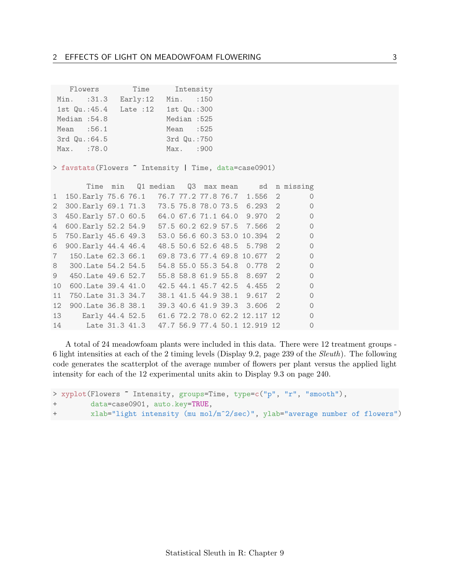|               | Flowers Time | Intensity    |  |  |  |
|---------------|--------------|--------------|--|--|--|
| Min. : 31.3   | Early: 12    | Min. : 150   |  |  |  |
| 1st Qu.:45.4  | Late $:12$   | 1st Qu.:300  |  |  |  |
| Median: 54.8  |              | Median: 525  |  |  |  |
| Mean :56.1    |              | Mean $:525$  |  |  |  |
| 3rd Qu.: 64.5 |              | 3rd Qu.: 750 |  |  |  |
| Max. :78.0    |              | Max. : 900   |  |  |  |

> favstats(Flowers ~ Intensity | Time, data=case0901)

|                 |                                              |  |  |  |                               | Time min Q1 median Q3 max mean sd n missing |
|-----------------|----------------------------------------------|--|--|--|-------------------------------|---------------------------------------------|
|                 | 1 150. Early 75.6 76.1                       |  |  |  | 76.7 77.2 77.8 76.7 1.556 2   | $\Omega$                                    |
| $\overline{2}$  | 300. Early 69.1 71.3                         |  |  |  | 73.5 75.8 78.0 73.5 6.293 2   | $\Omega$                                    |
| 3               | 450. Early 57.0 60.5                         |  |  |  | 64.0 67.6 71.1 64.0 9.970 2   | $\Omega$                                    |
| 4               | 600. Early 52.2 54.9                         |  |  |  | 57.5 60.2 62.9 57.5 7.566 2   | $\Omega$                                    |
| 5               | 750. Early 45.6 49.3                         |  |  |  | 53.0 56.6 60.3 53.0 10.394 2  | $\Omega$                                    |
| 6               | 900. Early 44.4 46.4                         |  |  |  | 48.5 50.6 52.6 48.5 5.798 2   | $\Omega$                                    |
| $7^{\circ}$     | 150.Late 62.3 66.1                           |  |  |  | 69.8 73.6 77.4 69.8 10.677 2  | $\Omega$                                    |
|                 | 8 300. Late 54. 2 54. 5                      |  |  |  | 54.8 55.0 55.3 54.8 0.778 2   | $\Omega$                                    |
| 9               | 450. Late 49.6 52. 7                         |  |  |  | 55.8 58.8 61.9 55.8 8.697 2   | $\Omega$                                    |
| 10              | 600. Late 39.4 41.0                          |  |  |  | 42.5 44.1 45.7 42.5 4.455 2   | $\Omega$                                    |
| 11              | 750.Late 31.3 34.7                           |  |  |  | 38.1 41.5 44.9 38.1 9.617 2   | $\Omega$                                    |
| 12 <sub>1</sub> | 900. Late 36.8 38. 1                         |  |  |  | 39.3 40.6 41.9 39.3 3.606 2   | $\Omega$                                    |
|                 | 13 Early 44.4 52.5                           |  |  |  | 61.6 72.2 78.0 62.2 12.117 12 | $\Omega$                                    |
| 14              | Late 31.3 41.3 47.7 56.9 77.4 50.1 12.919 12 |  |  |  |                               | $\Omega$                                    |

A total of 24 meadowfoam plants were included in this data. There were 12 treatment groups - 6 light intensities at each of the 2 timing levels (Display 9.2, page 239 of the Sleuth). The following code generates the scatterplot of the average number of flowers per plant versus the applied light intensity for each of the 12 experimental units akin to Display 9.3 on page 240.

```
> xyplot(Flowers ~ Intensity, groups=Time, type=c("p", "r", "smooth"),
+ data=case0901, auto.key=TRUE,
+ xlab="light intensity (mu mol/m^2/sec)", ylab="average number of flowers")
```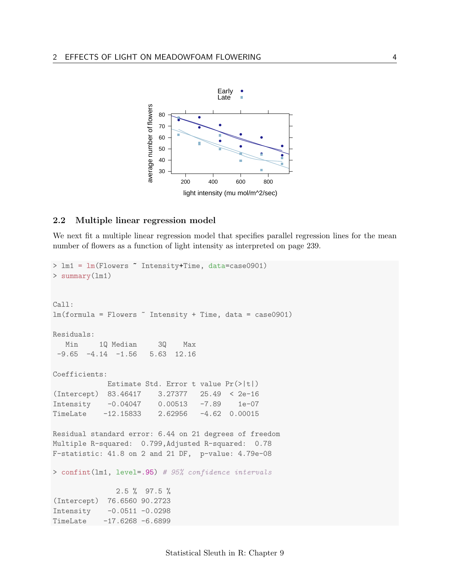

#### <span id="page-3-0"></span>2.2 Multiple linear regression model

We next fit a multiple linear regression model that specifies parallel regression lines for the mean number of flowers as a function of light intensity as interpreted on page 239.

```
> lm1 = lm(Flowers ~ Intensity+Time, data=case0901)
> summary(lm1)
Call:
lm(formula = Flowers \tilde{m} Intensity + Time, data = case0901)
Residuals:
  Min 1Q Median 3Q Max
-9.65 -4.14 -1.56 5.63 12.16
Coefficients:
            Estimate Std. Error t value Pr(>|t|)
(Intercept) 83.46417 3.27377 25.49 < 2e-16
Intensity -0.04047 0.00513 -7.89 1e-07
TimeLate -12.15833  2.62956 -4.62  0.00015
Residual standard error: 6.44 on 21 degrees of freedom
Multiple R-squared: 0.799,Adjusted R-squared: 0.78
F-statistic: 41.8 on 2 and 21 DF, p-value: 4.79e-08
> confint(lm1, level=.95) # 95% confidence intervals
              2.5 % 97.5 %
(Intercept) 76.6560 90.2723
Intensity -0.0511 -0.0298
TimeLate -17.6268 -6.6899
```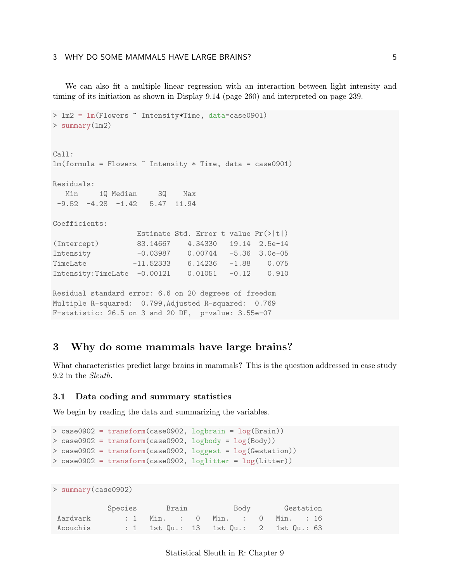We can also fit a multiple linear regression with an interaction between light intensity and timing of its initiation as shown in Display 9.14 (page 260) and interpreted on page 239.

```
> lm2 = lm(Flowers ~ Intensity*Time, data=case0901)
> summary(lm2)
Call:
lm(formula = Flowers \tilde{m} Intensity * Time, data = case0901)
Residuals:
  Min 1Q Median 3Q Max
-9.52 -4.28 -1.42 5.47 11.94Coefficients:
                Estimate Std. Error t value Pr(>|t|)
(Intercept) 83.14667 4.34330 19.14 2.5e-14
Intensity -0.03987 0.00744 -5.36 3.0e-05
TimeLate -11.52333 6.14236 -1.88 0.075
Intensity:TimeLate -0.00121 0.01051 -0.12 0.910
Residual standard error: 6.6 on 20 degrees of freedom
Multiple R-squared: 0.799,Adjusted R-squared: 0.769
F-statistic: 26.5 on 3 and 20 DF, p-value: 3.55e-07
```
### <span id="page-4-0"></span>3 Why do some mammals have large brains?

What characteristics predict large brains in mammals? This is the question addressed in case study 9.2 in the Sleuth.

#### <span id="page-4-1"></span>3.1 Data coding and summary statistics

We begin by reading the data and summarizing the variables.

```
> case0902 = transform(case0902, logbrain = log(Brain))
> case0902 = transform(case0902, logbody = log(Body))
> case0902 = transform(case0902, loggest = log(Gestation))
> case0902 = transform(case0902, loglitter = log(Litter))
```

```
> summary(case0902)
```

|          | Species Brain | Body                                   | Gestation |  |  |
|----------|---------------|----------------------------------------|-----------|--|--|
| Aardvark |               | : 1 Min. : 0 Min. : 0 Min. : 16        |           |  |  |
| Acouchis |               | : 1 1st Qu.: 13 1st Qu.: 2 1st Qu.: 63 |           |  |  |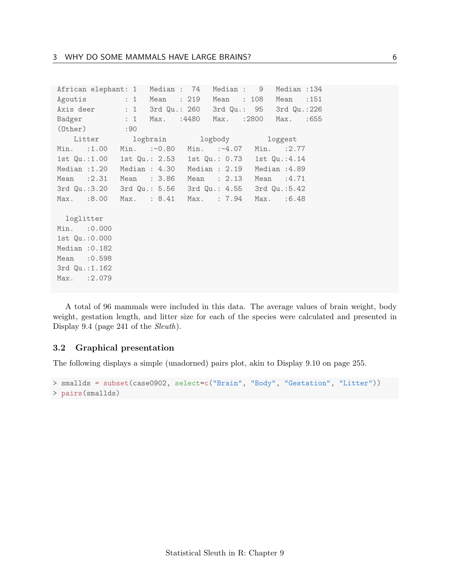|                 | African elephant: 1 Median : 74 Median : 9            |  |             |               |  |  | Median : 134            |      |
|-----------------|-------------------------------------------------------|--|-------------|---------------|--|--|-------------------------|------|
|                 | Agoutis : 1 Mean : 219 Mean : 108 Mean : 151          |  |             |               |  |  |                         |      |
|                 | Axis deer : 1 3rd Qu.: 260 3rd Qu.: 95 3rd Qu.:226    |  |             |               |  |  |                         |      |
|                 | Badger : 1 Max. : 4480 Max. : 2800 Max.               |  |             |               |  |  |                         | :655 |
|                 | $(0$ ther $)$ :90                                     |  |             |               |  |  |                         |      |
|                 | Litter logbrain logbody loggest                       |  |             |               |  |  |                         |      |
|                 | Min. :1.00 Min. :-0.80 Min. :-4.07 Min. :2.77         |  |             |               |  |  |                         |      |
|                 | 1st Qu.:1.00 1st Qu.: 2.53 1st Qu.: 0.73 1st Qu.:4.14 |  |             |               |  |  |                         |      |
|                 | Median :1.20 Median : 4.30 Median : 2.19 Median :4.89 |  |             |               |  |  |                         |      |
|                 | Mean $:2.31$                                          |  | Mean : 3.86 | Mean $: 2.13$ |  |  | Mean :4.71              |      |
|                 | 3rd Qu.:3.20 3rd Qu.: 5.56 3rd Qu.: 4.55 3rd Qu.:5.42 |  |             |               |  |  |                         |      |
|                 | Max. :8.00 Max. : 8.41                                |  |             |               |  |  | Max. : 7.94 Max. : 6.48 |      |
|                 |                                                       |  |             |               |  |  |                         |      |
| loglitter       |                                                       |  |             |               |  |  |                         |      |
| Min. : 0.000    |                                                       |  |             |               |  |  |                         |      |
| 1st Qu.: 0.000  |                                                       |  |             |               |  |  |                         |      |
| Median $:0.182$ |                                                       |  |             |               |  |  |                         |      |
| Mean : 0.598    |                                                       |  |             |               |  |  |                         |      |
| 3rd Qu.: 1.162  |                                                       |  |             |               |  |  |                         |      |
| Max. : 2.079    |                                                       |  |             |               |  |  |                         |      |
|                 |                                                       |  |             |               |  |  |                         |      |

A total of 96 mammals were included in this data. The average values of brain weight, body weight, gestation length, and litter size for each of the species were calculated and presented in Display 9.4 (page 241 of the Sleuth).

#### <span id="page-5-0"></span>3.2 Graphical presentation

The following displays a simple (unadorned) pairs plot, akin to Display 9.10 on page 255.

```
> smallds = subset(case0902, select=c("Brain", "Body", "Gestation", "Litter"))
> pairs(smallds)
```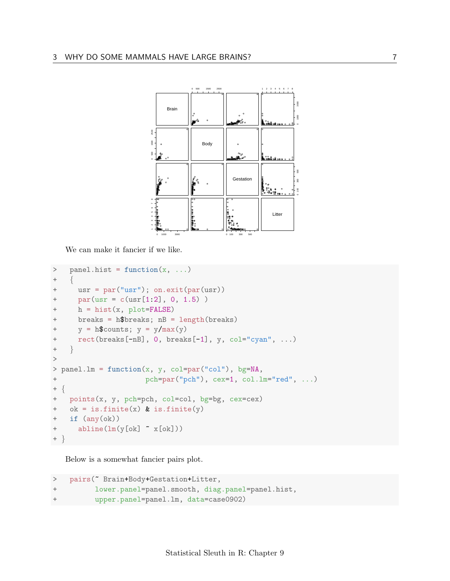

We can make it fancier if we like.

```
> panel.hist = function(x, ...)++ usr = par("usr"); on.exit(par(usr))
+ par(usr = c(usr[1:2], 0, 1.5) )
+ h = hist(x, plot=FALSE)
+ breaks = h$breaks; nB = length(breaks)
+ y = h$counts; y = y/max(y)+ rect(breaks[-nB], 0, breaks[-1], y, col="cyan", ...)
+ }
>
> panel.lm = function(x, y, col=par("col"), bg=NA,
+ pch=par("pch"), cex=1, col.lm="red", ...)
+ {
+ points(x, y, pch=pch, col=col, bg=bg, cex=cex)
+ ok = is.finite(x) & is.finite(y)
+ if (any(ok))
+ abline(lm(y[ok] ~ x[ok]))
+
```
Below is a somewhat fancier pairs plot.

```
> pairs(~ Brain+Body+Gestation+Litter,
+ lower.panel=panel.smooth, diag.panel=panel.hist,
+ upper.panel=panel.lm, data=case0902)
```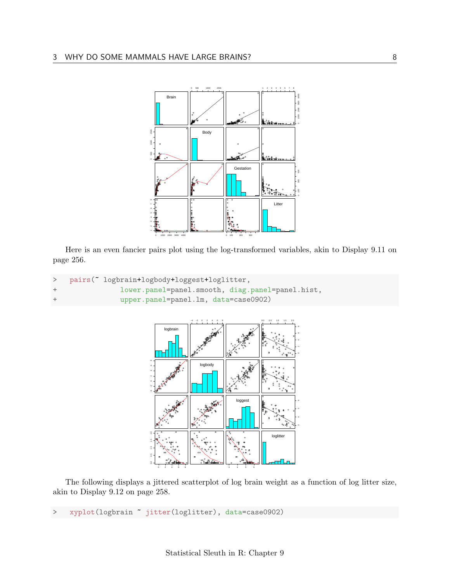

Here is an even fancier pairs plot using the log-transformed variables, akin to Display 9.11 on page 256.

```
pairs("logbrain+logbody+loggest+loglitter,
\,>^{+}lower.panel=panel.smooth, diag.panel=panel.hist,
\! + \!upper.panel=panel.lm, data=case0902)
```


The following displays a jittered scatterplot of log brain weight as a function of log litter size, akin to Display 9.12 on page 258.

xyplot(logbrain " jitter(loglitter), data=case0902)  $\geq$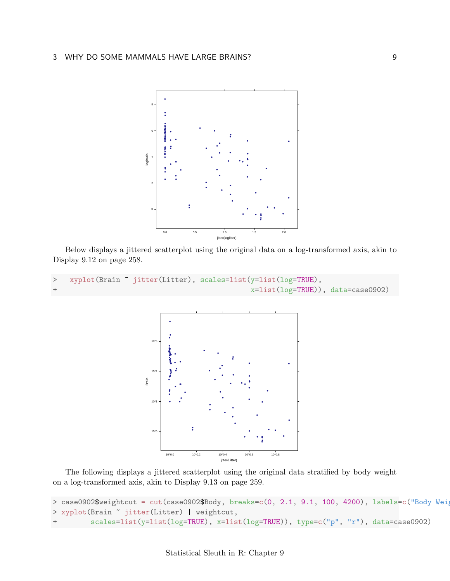

Below displays a jittered scatterplot using the original data on a log-transformed axis, akin to Display 9.12 on page 258.

```
> xyplot(Brain " jitter(Litter), scales=list(y=list(log=TRUE),
                                              x=list(log=TRUE)), data=case0902)
```


The following displays a jittered scatterplot using the original data stratified by body weight on a log-transformed axis, akin to Display 9.13 on page 259.

```
> case0902$weightcut = cut(case0902$Body, breaks=c(0, 2.1, 9.1, 100, 4200), labels=c("Body Weig
> xyplot(Brain ~ jitter(Litter) | weightcut,
         scales=list(y=list(log=TRUE), x=list(log=TRUE)), type=c("p", "r"), data=case0902)
```